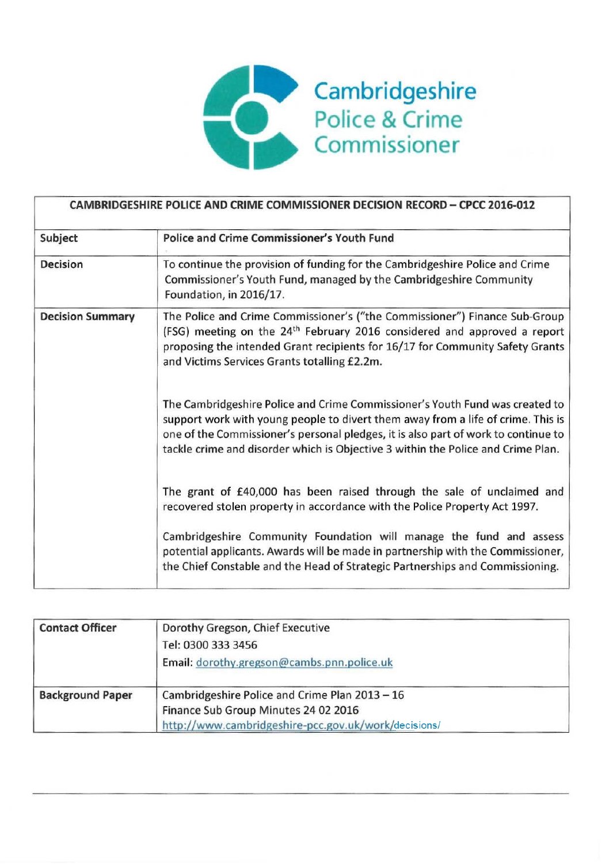

| Subject                 | <b>Police and Crime Commissioner's Youth Fund</b>                                                                                                                                                                                                                                                                                          |
|-------------------------|--------------------------------------------------------------------------------------------------------------------------------------------------------------------------------------------------------------------------------------------------------------------------------------------------------------------------------------------|
| <b>Decision</b>         | To continue the provision of funding for the Cambridgeshire Police and Crime<br>Commissioner's Youth Fund, managed by the Cambridgeshire Community<br>Foundation, in 2016/17.                                                                                                                                                              |
| <b>Decision Summary</b> | The Police and Crime Commissioner's ("the Commissioner") Finance Sub-Group<br>(FSG) meeting on the 24 <sup>th</sup> February 2016 considered and approved a report<br>proposing the intended Grant recipients for 16/17 for Community Safety Grants<br>and Victims Services Grants totalling £2.2m.                                        |
|                         | The Cambridgeshire Police and Crime Commissioner's Youth Fund was created to<br>support work with young people to divert them away from a life of crime. This is<br>one of the Commissioner's personal pledges, it is also part of work to continue to<br>tackle crime and disorder which is Objective 3 within the Police and Crime Plan. |
|                         | The grant of £40,000 has been raised through the sale of unclaimed and<br>recovered stolen property in accordance with the Police Property Act 1997.                                                                                                                                                                                       |
|                         | Cambridgeshire Community Foundation will manage the fund and assess<br>potential applicants. Awards will be made in partnership with the Commissioner,<br>the Chief Constable and the Head of Strategic Partnerships and Commissioning.                                                                                                    |

| <b>Contact Officer</b>  | Dorothy Gregson, Chief Executive                     |  |
|-------------------------|------------------------------------------------------|--|
|                         | Tel: 0300 333 3456                                   |  |
|                         | Email: dorothy.gregson@cambs.pnn.police.uk           |  |
| <b>Background Paper</b> | Cambridgeshire Police and Crime Plan 2013 - 16       |  |
|                         | Finance Sub Group Minutes 24 02 2016                 |  |
|                         | http://www.cambridgeshire-pcc.gov.uk/work/decisions/ |  |